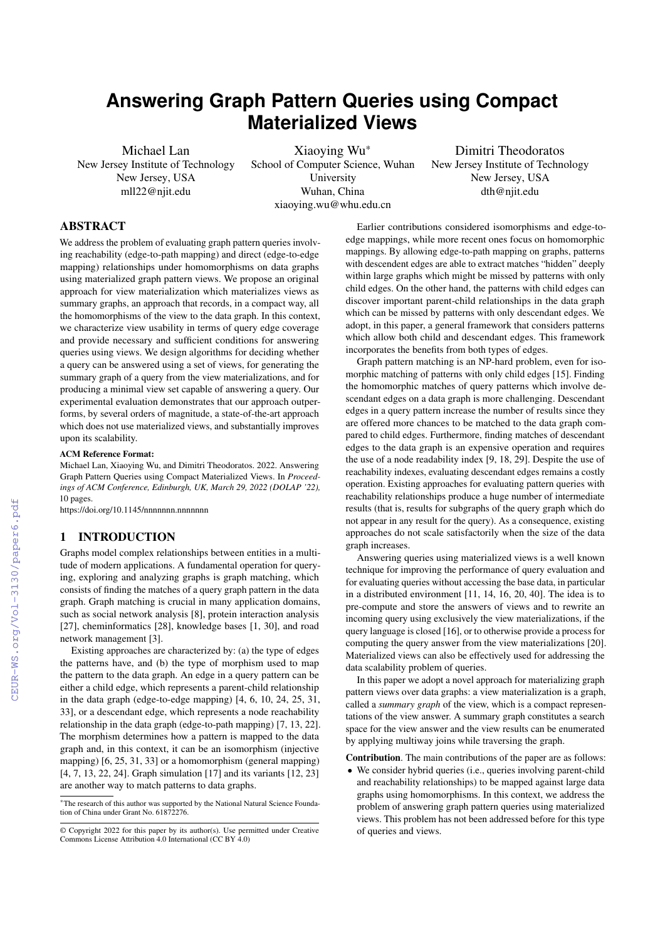# **Answering Graph Pattern Queries using Compact Materialized Views**

Michael Lan New Jersey Institute of Technology New Jersey, USA mll22@njit.edu

Xiaoying Wu\* School of Computer Science, Wuhan University Wuhan, China xiaoying.wu@whu.edu.cn

Dimitri Theodoratos New Jersey Institute of Technology New Jersey, USA dth@njit.edu

# ABSTRACT

We address the problem of evaluating graph pattern queries involving reachability (edge-to-path mapping) and direct (edge-to-edge mapping) relationships under homomorphisms on data graphs using materialized graph pattern views. We propose an original approach for view materialization which materializes views as summary graphs, an approach that records, in a compact way, all the homomorphisms of the view to the data graph. In this context, we characterize view usability in terms of query edge coverage and provide necessary and sufficient conditions for answering queries using views. We design algorithms for deciding whether a query can be answered using a set of views, for generating the summary graph of a query from the view materializations, and for producing a minimal view set capable of answering a query. Our experimental evaluation demonstrates that our approach outperforms, by several orders of magnitude, a state-of-the-art approach which does not use materialized views, and substantially improves upon its scalability.

## ACM Reference Format:

Michael Lan, Xiaoying Wu, and Dimitri Theodoratos. 2022. Answering Graph Pattern Queries using Compact Materialized Views. In *Proceedings of ACM Conference, Edinburgh, UK, March 29, 2022 (DOLAP '22),* [10](#page--1-0) pages.

<https://doi.org/10.1145/nnnnnnn.nnnnnnn>

# 1 INTRODUCTION

Graphs model complex relationships between entities in a multitude of modern applications. A fundamental operation for querying, exploring and analyzing graphs is graph matching, which consists of finding the matches of a query graph pattern in the data graph. Graph matching is crucial in many application domains, such as social network analysis [\[8\]](#page--1-1), protein interaction analysis [\[27\]](#page--1-2), cheminformatics [\[28\]](#page--1-3), knowledge bases [\[1,](#page--1-4) [30\]](#page--1-5), and road network management [\[3\]](#page--1-6).

Existing approaches are characterized by: (a) the type of edges the patterns have, and (b) the type of morphism used to map the pattern to the data graph. An edge in a query pattern can be either a child edge, which represents a parent-child relationship in the data graph (edge-to-edge mapping) [\[4,](#page--1-7) [6,](#page--1-8) [10,](#page--1-9) [24,](#page--1-10) [25,](#page--1-11) [31,](#page--1-12) [33\]](#page--1-13), or a descendant edge, which represents a node reachability relationship in the data graph (edge-to-path mapping) [\[7,](#page--1-14) [13,](#page--1-15) [22\]](#page--1-16). The morphism determines how a pattern is mapped to the data graph and, in this context, it can be an isomorphism (injective mapping) [\[6,](#page--1-8) [25,](#page--1-11) [31,](#page--1-12) [33\]](#page--1-13) or a homomorphism (general mapping) [\[4,](#page--1-7) [7,](#page--1-14) [13,](#page--1-15) [22,](#page--1-16) [24\]](#page--1-10). Graph simulation [\[17\]](#page--1-17) and its variants [\[12,](#page--1-18) [23\]](#page--1-19) are another way to match patterns to data graphs.

Earlier contributions considered isomorphisms and edge-toedge mappings, while more recent ones focus on homomorphic mappings. By allowing edge-to-path mapping on graphs, patterns with descendent edges are able to extract matches "hidden" deeply within large graphs which might be missed by patterns with only child edges. On the other hand, the patterns with child edges can discover important parent-child relationships in the data graph which can be missed by patterns with only descendant edges. We adopt, in this paper, a general framework that considers patterns which allow both child and descendant edges. This framework incorporates the benefits from both types of edges.

Graph pattern matching is an NP-hard problem, even for isomorphic matching of patterns with only child edges [\[15\]](#page--1-20). Finding the homomorphic matches of query patterns which involve descendant edges on a data graph is more challenging. Descendant edges in a query pattern increase the number of results since they are offered more chances to be matched to the data graph compared to child edges. Furthermore, finding matches of descendant edges to the data graph is an expensive operation and requires the use of a node readability index [\[9,](#page--1-21) [18,](#page--1-22) [29\]](#page--1-23). Despite the use of reachability indexes, evaluating descendant edges remains a costly operation. Existing approaches for evaluating pattern queries with reachability relationships produce a huge number of intermediate results (that is, results for subgraphs of the query graph which do not appear in any result for the query). As a consequence, existing approaches do not scale satisfactorily when the size of the data graph increases.

Answering queries using materialized views is a well known technique for improving the performance of query evaluation and for evaluating queries without accessing the base data, in particular in a distributed environment [\[11,](#page--1-24) [14,](#page--1-25) [16,](#page--1-26) [20,](#page--1-27) [40\]](#page--1-28). The idea is to pre-compute and store the answers of views and to rewrite an incoming query using exclusively the view materializations, if the query language is closed [\[16\]](#page--1-26), or to otherwise provide a process for computing the query answer from the view materializations [\[20\]](#page--1-27). Materialized views can also be effectively used for addressing the data scalability problem of queries.

In this paper we adopt a novel approach for materializing graph pattern views over data graphs: a view materialization is a graph, called a *summary graph* of the view, which is a compact representations of the view answer. A summary graph constitutes a search space for the view answer and the view results can be enumerated by applying multiway joins while traversing the graph.

Contribution. The main contributions of the paper are as follows:

• We consider hybrid queries (i.e., queries involving parent-child and reachability relationships) to be mapped against large data graphs using homomorphisms. In this context, we address the problem of answering graph pattern queries using materialized views. This problem has not been addressed before for this type of queries and views.

<sup>\*</sup>The research of this author was supported by the National Natural Science Foundation of China under Grant No. 61872276.

<sup>©</sup> Copyright 2022 for this paper by its author(s). Use permitted under Creative Commons License Attribution 4.0 International (CC BY 4.0)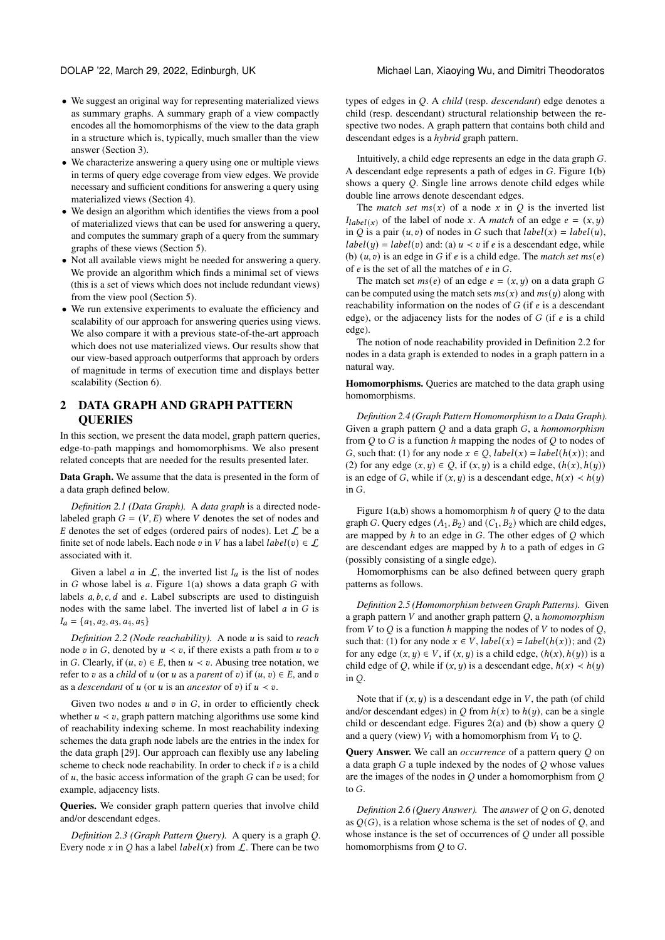- We suggest an original way for representing materialized views as summary graphs. A summary graph of a view compactly encodes all the homomorphisms of the view to the data graph in a structure which is, typically, much smaller than the view answer (Section 3).
- We characterize answering a query using one or multiple views in terms of query edge coverage from view edges. We provide necessary and sufficient conditions for answering a query using materialized views (Section 4).
- We design an algorithm which identifies the views from a pool of materialized views that can be used for answering a query, and computes the summary graph of a query from the summary graphs of these views (Section 5).
- Not all available views might be needed for answering a query. We provide an algorithm which finds a minimal set of views (this is a set of views which does not include redundant views) from the view pool (Section 5).
- We run extensive experiments to evaluate the efficiency and scalability of our approach for answering queries using views. We also compare it with a previous state-of-the-art approach which does not use materialized views. Our results show that our view-based approach outperforms that approach by orders of magnitude in terms of execution time and displays better scalability (Section 6).

# 2 DATA GRAPH AND GRAPH PATTERN **OUERIES**

In this section, we present the data model, graph pattern queries, edge-to-path mappings and homomorphisms. We also present related concepts that are needed for the results presented later.

Data Graph. We assume that the data is presented in the form of a data graph defined below.

*Definition 2.1 (Data Graph).* A *data graph* is a directed nodelabeled graph  $G = (V, E)$  where V denotes the set of nodes and  $E$  denotes the set of edges (ordered pairs of nodes). Let  $L$  be a finite set of node labels. Each node v in V has a label  $label(v) \in \mathcal{L}$ associated with it.

Given a label *a* in  $\mathcal{L}$ , the inverted list  $I_a$  is the list of nodes in  $G$  whose label is  $a$ . Figure [1\(](#page-2-0)a) shows a data graph  $G$  with labels  $a, b, c, d$  and  $e$ . Label subscripts are used to distinguish nodes with the same label. The inverted list of label  $a$  in  $G$  is  $I_a = \{a_1, a_2, a_3, a_4, a_5\}$ 

<span id="page-1-0"></span>*Definition 2.2 (Node reachability).* A node is said to *reach* node v in G, denoted by  $u \lt v$ , if there exists a path from u to v in G. Clearly, if  $(u, v) \in E$ , then  $u \lt v$ . Abusing tree notation, we refer to  $v$  as a *child* of  $u$  (or  $u$  as a *parent* of  $v$ ) if  $(u, v) \in E$ , and  $v$ as a *descendant* of  $u$  (or  $u$  is an *ancestor* of  $v$ ) if  $u < v$ .

Given two nodes  $u$  and  $v$  in  $G$ , in order to efficiently check whether  $u \lt v$ , graph pattern matching algorithms use some kind of reachability indexing scheme. In most reachability indexing schemes the data graph node labels are the entries in the index for the data graph [\[29\]](#page-9-0). Our approach can flexibly use any labeling scheme to check node reachability. In order to check if  $v$  is a child of  $u$ , the basic access information of the graph  $G$  can be used; for example, adjacency lists.

Queries. We consider graph pattern queries that involve child and/or descendant edges.

*Definition 2.3 (Graph Pattern Query).* A query is a graph Q. Every node x in Q has a label  $label(x)$  from  $\mathcal{L}$ . There can be two

types of edges in Q. A *child* (resp. *descendant*) edge denotes a child (resp. descendant) structural relationship between the respective two nodes. A graph pattern that contains both child and descendant edges is a *hybrid* graph pattern.

Intuitively, a child edge represents an edge in the data graph G. A descendant edge represents a path of edges in  $G$ . Figure  $1(b)$ shows a query  $Q$ . Single line arrows denote child edges while double line arrows denote descendant edges.

The *match set*  $ms(x)$  of a node x in  $Q$  is the inverted list  $I_{label(x)}$  of the label of node x. A *match* of an edge  $e = (x, y)$ in *Q* is a pair  $(u, v)$  of nodes in *G* such that  $label(x) = label(u)$ ,  $label(y) = label(v)$  and: (a)  $u \lt v$  if e is a descendant edge, while (b)  $(u, v)$  is an edge in G if  $e$  is a child edge. The *match set*  $ms(e)$ of  $e$  is the set of all the matches of  $e$  in  $G$ .

The match set  $ms(e)$  of an edge  $e = (x, y)$  on a data graph G can be computed using the match sets  $ms(x)$  and  $ms(y)$  along with reachability information on the nodes of  $G$  (if  $e$  is a descendant edge), or the adjacency lists for the nodes of  $G$  (if  $e$  is a child edge).

The notion of node reachability provided in Definition [2.2](#page-1-0) for nodes in a data graph is extended to nodes in a graph pattern in a natural way.

Homomorphisms. Queries are matched to the data graph using homomorphisms.

*Definition 2.4 (Graph Pattern Homomorphism to a Data Graph).* Given a graph pattern Q and a data graph G, a *homomorphism* from  $Q$  to  $G$  is a function  $h$  mapping the nodes of  $Q$  to nodes of G, such that: (1) for any node  $x \in Q$ ,  $label(x) = label(h(x))$ ; and (2) for any edge  $(x, y) \in Q$ , if  $(x, y)$  is a child edge,  $(h(x), h(y))$ is an edge of G, while if  $(x, y)$  is a descendant edge,  $h(x) < h(y)$ in  $G$ 

Figure [1\(](#page-2-0)a,b) shows a homomorphism  $h$  of query  $O$  to the data graph G. Query edges  $(A_1, B_2)$  and  $(C_1, B_2)$  which are child edges, are mapped by  $h$  to an edge in  $G$ . The other edges of  $Q$  which are descendant edges are mapped by  $h$  to a path of edges in  $G$ (possibly consisting of a single edge).

Homomorphisms can be also defined between query graph patterns as follows.

*Definition 2.5 (Homomorphism between Graph Patterns).* Given a graph pattern V and another graph pattern Q, a *homomorphism* from  $V$  to  $Q$  is a function  $h$  mapping the nodes of  $V$  to nodes of  $Q$ , such that: (1) for any node  $x \in V$ ,  $label(x) = label(h(x))$ ; and (2) for any edge  $(x, y) \in V$ , if  $(x, y)$  is a child edge,  $(h(x), h(y))$  is a child edge of Q, while if  $(x, y)$  is a descendant edge,  $h(x) < h(y)$ in  $O$ .

Note that if  $(x, y)$  is a descendant edge in V, the path (of child and/or descendant edges) in Q from  $h(x)$  to  $h(y)$ , can be a single child or descendant edge. Figures  $2(a)$  and (b) show a query  $Q$ and a query (view)  $V_1$  with a homomorphism from  $V_1$  to  $Q$ .

**Ouery Answer.** We call an *occurrence* of a pattern query *O* on a data graph  $G$  a tuple indexed by the nodes of  $O$  whose values are the images of the nodes in  $O$  under a homomorphism from  $O$ to  $G$ .

*Definition 2.6 (Query Answer).* The *answer* of *Q* on *G*, denoted as  $Q(G)$ , is a relation whose schema is the set of nodes of  $Q$ , and whose instance is the set of occurrences of  $Q$  under all possible homomorphisms from  $Q$  to  $G$ .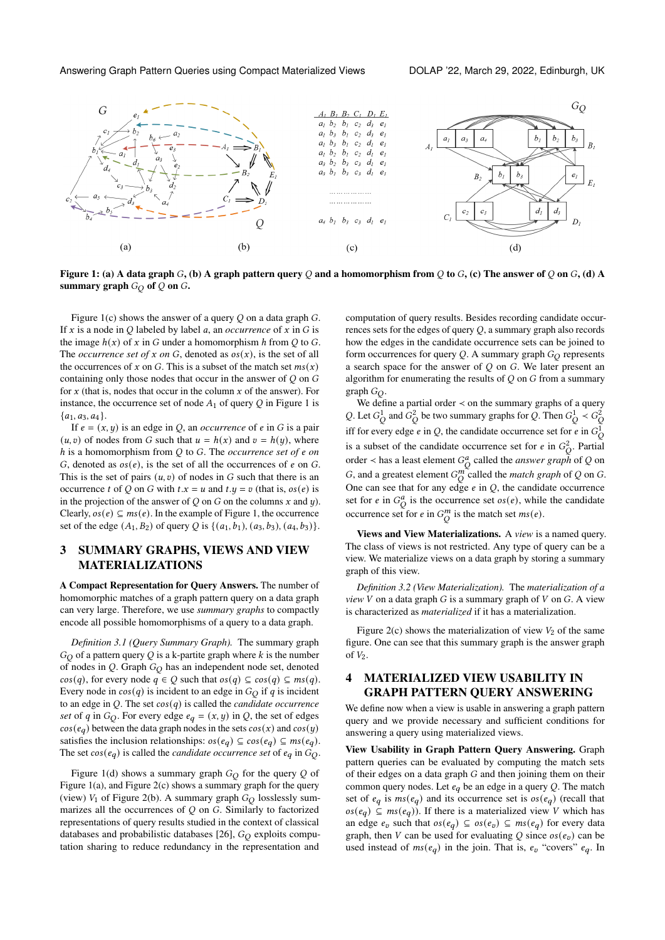<span id="page-2-0"></span>

Figure 1: (a) A data graph  $G$ , (b) A graph pattern query  $Q$  and a homomorphism from  $Q$  to  $G$ , (c) The answer of  $Q$  on  $G$ , (d) A summary graph  $G_Q$  of  $Q$  on  $G$ .

Figure [1\(](#page-2-0)c) shows the answer of a query  $Q$  on a data graph  $G$ . If  $x$  is a node in  $\overline{O}$  labeled by label  $a$ , an *occurrence* of  $x$  in  $\overline{G}$  is the image  $h(x)$  of x in G under a homomorphism h from Q to G. The *occurrence set of*  $x$  *on*  $G$ , denoted as  $os(x)$ , is the set of all the occurrences of x on G. This is a subset of the match set  $ms(x)$ containing only those nodes that occur in the answer of  $Q$  on  $G$ for  $x$  (that is, nodes that occur in the column  $x$  of the answer). For instance, the occurrence set of node  $A_1$  of query  $Q$  in Figure [1](#page-2-0) is  ${a_1, a_3, a_4}.$ 

If  $e = (x, y)$  is an edge in Q, an *occurrence* of  $e$  in  $G$  is a pair  $(u, v)$  of nodes from G such that  $u = h(x)$  and  $v = h(y)$ , where h is a homomorphism from Q to G. The occurrence set of  $e$  on G, denoted as  $os(e)$ , is the set of all the occurrences of  $e$  on  $G$ . This is the set of pairs  $(u, v)$  of nodes in G such that there is an occurrence t of Q on G with  $t.x = u$  and  $t.y = v$  (that is,  $os(e)$  is in the projection of the answer of  $Q$  on  $G$  on the columns  $x$  and  $y$ ). Clearly,  $\sigma s(e) \subseteq ms(e)$ . In the example of Figure [1,](#page-2-0) the occurrence set of the edge  $(A_1, B_2)$  of query Q is  $\{(a_1, b_1), (a_3, b_3), (a_4, b_3)\}.$ 

# 3 SUMMARY GRAPHS, VIEWS AND VIEW MATERIALIZATIONS

A Compact Representation for Query Answers. The number of homomorphic matches of a graph pattern query on a data graph can very large. Therefore, we use *summary graphs* to compactly encode all possible homomorphisms of a query to a data graph.

*Definition 3.1 (Query Summary Graph).* The summary graph  $G_O$  of a pattern query Q is a k-partite graph where k is the number of nodes in  $Q$ . Graph  $G_Q$  has an independent node set, denoted  $cos(q)$ , for every node  $q \in Q$  such that  $os(q) \subseteq cos(q) \subseteq ms(q)$ . Every node in  $cos(q)$  is incident to an edge in  $G<sub>O</sub>$  if q is incident to an edge in  $Q$ . The set  $cos(q)$  is called the *candidate occurrence set* of q in  $G_Q$ . For every edge  $e_q = (x, y)$  in Q, the set of edges  $cos(e_a)$  between the data graph nodes in the sets  $cos(x)$  and  $cos(y)$ satisfies the inclusion relationships:  $os(e_a) \subseteq cos(e_a) \subseteq ms(e_a)$ . The set  $cos(e_q)$  is called the *candidate occurrence set* of  $e_q$  in  $\tilde{G_Q}$ .

Figure [1\(](#page-2-0)d) shows a summary graph  $G_O$  for the query Q of Figure [1\(](#page-2-0)a), and Figure [2\(](#page-3-0)c) shows a summary graph for the query (view)  $V_1$  of Figure [2\(](#page-3-0)b). A summary graph  $G_O$  losslessly summarizes all the occurrences of  $Q$  on  $G$ . Similarly to factorized representations of query results studied in the context of classical databases and probabilistic databases [\[26\]](#page-9-1),  $G_O$  exploits computation sharing to reduce redundancy in the representation and

computation of query results. Besides recording candidate occurrences sets for the edges of query  $Q$ , a summary graph also records how the edges in the candidate occurrence sets can be joined to form occurrences for query  $Q$ . A summary graph  $G<sub>O</sub>$  represents a search space for the answer of  $Q$  on  $G$ . We later present an algorithm for enumerating the results of  $Q$  on  $G$  from a summary graph  $G_O$ .

We define a partial order  $\lt$  on the summary graphs of a query Q. Let  $G_O^1$  and  $G_O^2$  be two summary graphs for Q. Then  $G_O^1 \prec G_O^2$ iff for every edge *e* in Q, the candidate occurrence set for *e* in  $G_C^1$ is a subset of the candidate occurrence set for e in  $G_Q^2$ . Partial order < has a least element  $G_Q^a$  called the *answer graph* of Q on G, and a greatest element  $G_0^m$  called the *match graph* of Q on G. One can see that for any edge  $e$  in  $Q$ , the candidate occurrence set for *e* in  $G_O^a$  is the occurrence set  $os(e)$ , while the candidate occurrence set for *e* in  $G_O^m$  is the match set  $ms(e)$ .

Views and View Materializations. A *view* is a named query. The class of views is not restricted. Any type of query can be a view. We materialize views on a data graph by storing a summary graph of this view.

*Definition 3.2 (View Materialization).* The *materialization of a*  $view$   $V$  on a data graph  $G$  is a summary graph of  $V$  on  $G$ . A view is characterized as *materialized* if it has a materialization.

Figure [2\(](#page-3-0)c) shows the materialization of view  $V_2$  of the same figure. One can see that this summary graph is the answer graph of  $V_2$ .

# 4 MATERIALIZED VIEW USABILITY IN GRAPH PATTERN QUERY ANSWERING

We define now when a view is usable in answering a graph pattern query and we provide necessary and sufficient conditions for answering a query using materialized views.

View Usability in Graph Pattern Query Answering. Graph pattern queries can be evaluated by computing the match sets of their edges on a data graph  $G$  and then joining them on their common query nodes. Let  $e_q$  be an edge in a query Q. The match set of  $e_q$  is  $ms(e_q)$  and its occurrence set is  $os(e_q)$  (recall that  $(\cos(e_a) \subseteq ms(e_a))$ . If there is a materialized view V which has an edge  $e_v$  such that  $os(e_q) \subseteq os(e_v) \subseteq ms(e_q)$  for every data graph, then V can be used for evaluating Q since  $os(e_v)$  can be used instead of  $ms(e_q)$  in the join. That is,  $e_v$  "covers"  $e_q$ . In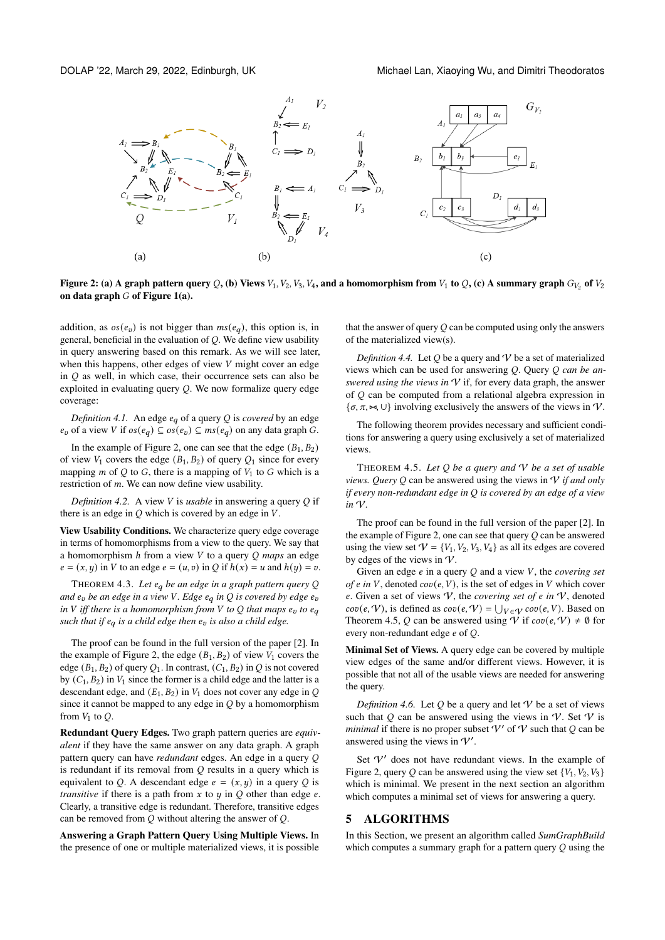<span id="page-3-0"></span>

Figure 2: (a) A graph pattern query Q, (b) Views  $V_1$ ,  $V_2$ ,  $V_3$ ,  $V_4$ , and a homomorphism from  $V_1$  to Q, (c) A summary graph  $G_{V_2}$  of  $V_2$ on data graph  $G$  of Figure [1\(](#page-2-0)a).

addition, as  $os(e_v)$  is not bigger than  $ms(e_q)$ , this option is, in general, beneficial in the evaluation of  $Q$ . We define view usability in query answering based on this remark. As we will see later, when this happens, other edges of view  $V$  might cover an edge in  $O$  as well, in which case, their occurrence sets can also be exploited in evaluating query  $Q$ . We now formalize query edge coverage:

*Definition 4.1.* An edge  $e_q$  of a query Q is *covered* by an edge  $e_v$  of a view V if  $os(e_q) \subseteq os(e_v) \subseteq ms(e_q)$  on any data graph G.

In the example of Figure [2,](#page-3-0) one can see that the edge  $(B_1, B_2)$ of view  $V_1$  covers the edge  $(B_1, B_2)$  of query  $Q_1$  since for every mapping  $m$  of  $Q$  to  $G$ , there is a mapping of  $V_1$  to  $G$  which is a restriction of  $m$ . We can now define view usability.

*Definition 4.2.* A view *V* is *usable* in answering a query *O* if there is an edge in  $Q$  which is covered by an edge in  $V$ .

View Usability Conditions. We characterize query edge coverage in terms of homomorphisms from a view to the query. We say that a homomorphism *h* from a view *V* to a query *Q maps* an edge  $e = (x, y)$  in V to an edge  $e = (u, v)$  in Q if  $h(x) = u$  and  $h(y) = v$ .

<span id="page-3-2"></span>THEOREM 4.3. Let  $e_q$  be an edge in a graph pattern query Q *and be an edge in a view . Edge in is covered by edge in V iff there is a homomorphism from V to Q that maps*  $e_v$  *to*  $e_q$ *such that if*  $e_q$  *is a child edge then*  $e_v$  *is also a child edge.* 

The proof can be found in the full version of the paper [\[2\]](#page-9-2). In the example of Figure [2,](#page-3-0) the edge  $(B_1, B_2)$  of view  $V_1$  covers the edge ( $B_1, B_2$ ) of query  $O_1$ . In contrast,  $(C_1, B_2)$  in O is not covered by  $(C_1, B_2)$  in  $V_1$  since the former is a child edge and the latter is a descendant edge, and  $(E_1, B_2)$  in  $V_1$  does not cover any edge in Q since it cannot be mapped to any edge in  $O$  by a homomorphism from  $V_1$  to  $Q$ .

Redundant Query Edges. Two graph pattern queries are *equivalent* if they have the same answer on any data graph. A graph pattern query can have *redundant* edges. An edge in a query is redundant if its removal from  $Q$  results in a query which is equivalent to Q. A descendant edge  $e = (x, y)$  in a query Q is *transitive* if there is a path from  $x$  to  $y$  in  $Q$  other than edge  $e$ . Clearly, a transitive edge is redundant. Therefore, transitive edges can be removed from  $Q$  without altering the answer of  $Q$ .

Answering a Graph Pattern Query Using Multiple Views. In the presence of one or multiple materialized views, it is possible

that the answer of query  $Q$  can be computed using only the answers of the materialized view(s).

*Definition 4.4.* Let  $Q$  be a query and  $V$  be a set of materialized views which can be used for answering Q. Query Q can be an*swered using the views in*  $V$  if, for every data graph, the answer of  $Q$  can be computed from a relational algebra expression in  $\{\sigma, \pi, \rightsquigarrow, \cup\}$  involving exclusively the answers of the views in  $\mathcal{V}$ .

The following theorem provides necessary and sufficient conditions for answering a query using exclusively a set of materialized views.

<span id="page-3-1"></span>THEOREM 4.5. *Let be a query and* V *be a set of usable views. Query*  $Q$  can be answered using the views in  $V$  *if and only if every non-redundant edge in is covered by an edge of a view in* V*.*

The proof can be found in the full version of the paper [\[2\]](#page-9-2). In the example of Figure [2,](#page-3-0) one can see that query  $Q$  can be answered using the view set  $V = \{V_1, V_2, V_3, V_4\}$  as all its edges are covered by edges of the views in  $\mathcal V$ .

Given an edge  $e$  in a query  $Q$  and a view  $V$ , the *covering set of*  $e$  in  $V$ , denoted  $cov(e, V)$ , is the set of edges in  $V$  which cover e. Given a set of views  $V$ , the *covering set of e in*  $V$ , denoted  $cov(e, \mathcal{V})$ , is defined as  $cov(e, \mathcal{V}) = \bigcup_{V \in \mathcal{V}} cov(e, V)$ . Based on Theorem [4.5,](#page-3-1) Q can be answered using V if  $cov(e, V) \neq \emptyset$  for every non-redundant edge  $e$  of  $O$ .

Minimal Set of Views. A query edge can be covered by multiple view edges of the same and/or different views. However, it is possible that not all of the usable views are needed for answering the query.

*Definition 4.6.* Let  $Q$  be a query and let  $V$  be a set of views such that  $Q$  can be answered using the views in  $V$ . Set  $V$  is *minimal* if there is no proper subset  $V'$  of  $V$  such that  $Q$  can be answered using the views in  $V'$ .

Set  $V'$  does not have redundant views. In the example of Figure [2,](#page-3-0) query Q can be answered using the view set  $\{V_1, V_2, V_3\}$ which is minimal. We present in the next section an algorithm which computes a minimal set of views for answering a query.

# 5 ALGORITHMS

In this Section, we present an algorithm called *SumGraphBuild* which computes a summary graph for a pattern query  $Q$  using the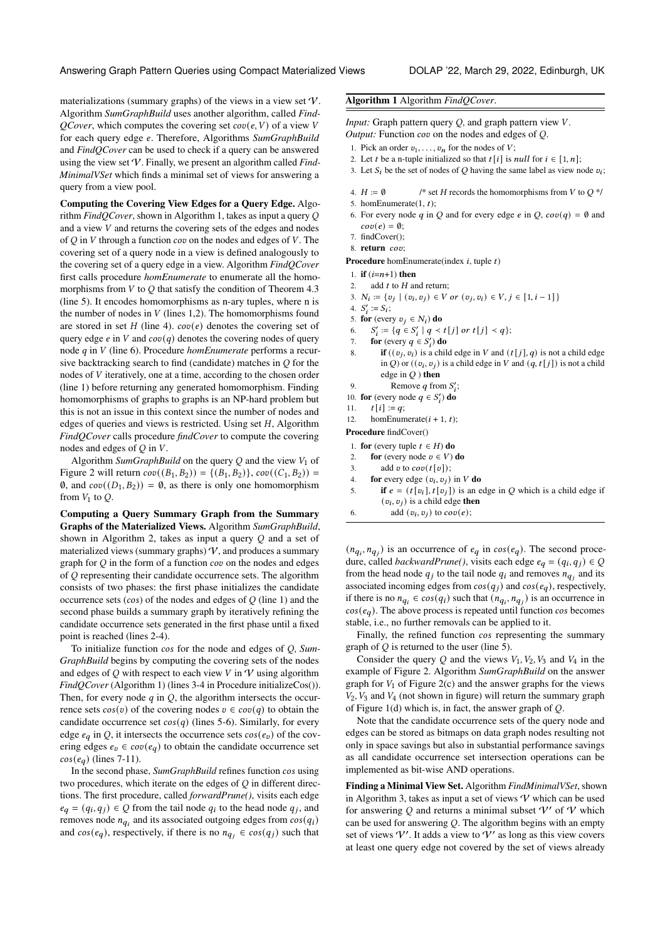#### Answering Graph Pattern Queries using Compact Materialized Views DOLAP '22, March 29, 2022, Edinburgh, UK

materializations (summary graphs) of the views in a view set  $\mathcal V$ . Algorithm *SumGraphBuild* uses another algorithm, called *Find-QCover*, which computes the covering set  $cov(e, V)$  of a view V for each query edge . Therefore, Algorithms *SumGraphBuild* and *FindQCover* can be used to check if a query can be answered using the view set V. Finally, we present an algorithm called *Find-MinimalVSet* which finds a minimal set of views for answering a query from a view pool.

Computing the Covering View Edges for a Query Edge. Algorithm *FindQCover*, shown in Algorithm [1,](#page-4-0) takes as input a query and a view  $V$  and returns the covering sets of the edges and nodes of  $\overline{O}$  in  $\overline{V}$  through a function  $\cos$  on the nodes and edges of  $\overline{V}$ . The covering set of a query node in a view is defined analogously to the covering set of a query edge in a view. Algorithm *FindQCover* first calls procedure *homEnumerate* to enumerate all the homomorphisms from  $V$  to  $Q$  that satisfy the condition of Theorem [4.3](#page-3-2) (line 5). It encodes homomorphisms as n-ary tuples, where n is the number of nodes in  $V$  (lines 1,2). The homomorphisms found are stored in set  $H$  (line 4).  $cov(e)$  denotes the covering set of query edge  $e$  in V and  $cov(q)$  denotes the covering nodes of query node q in V (line 6). Procedure *homEnumerate* performs a recursive backtracking search to find (candidate) matches in  $Q$  for the nodes of V iteratively, one at a time, according to the chosen order (line 1) before returning any generated homomorphism. Finding homomorphisms of graphs to graphs is an NP-hard problem but this is not an issue in this context since the number of nodes and edges of queries and views is restricted. Using set  $H$ , Algorithm *FindQCover* calls procedure *findCover* to compute the covering nodes and edges of  $Q$  in  $V$ .

Algorithm *SumGraphBuild* on the query  $Q$  and the view  $V_1$  of Figure [2](#page-3-0) will return  $cov((B_1, B_2)) = \{(B_1, B_2)\}, cov((C_1, B_2)) =$  $\emptyset$ , and  $cov((D_1, B_2)) = \emptyset$ , as there is only one homomorphism from  $V_1$  to  $Q$ .

Computing a Query Summary Graph from the Summary Graphs of the Materialized Views. Algorithm *SumGraphBuild*, shown in Algorithm [2,](#page-5-0) takes as input a query  $Q$  and a set of materialized views (summary graphs)  $\mathcal{V}$ , and produces a summary graph for  $Q$  in the form of a function  $cov$  on the nodes and edges of  $Q$  representing their candidate occurrence sets. The algorithm consists of two phases: the first phase initializes the candidate occurrence sets  $(cos)$  of the nodes and edges of  $Q$  (line 1) and the second phase builds a summary graph by iteratively refining the candidate occurrence sets generated in the first phase until a fixed point is reached (lines 2-4).

To initialize function cos for the node and edges of Q, *Sum-GraphBuild* begins by computing the covering sets of the nodes and edges of  $Q$  with respect to each view  $V$  in  $\mathcal V$  using algorithm *FindQCover* (Algorithm [1\)](#page-4-0) (lines 3-4 in Procedure initializeCos()). Then, for every node  $q$  in  $Q$ , the algorithm intersects the occurrence sets  $cos(v)$  of the covering nodes  $v \in cov(q)$  to obtain the candidate occurrence set  $cos(q)$  (lines 5-6). Similarly, for every edge  $e_q$  in Q, it intersects the occurrence sets  $cos(e_v)$  of the covering edges  $e_v \in cov(e_q)$  to obtain the candidate occurrence set  $cos(e_q)$  (lines 7-11).

In the second phase, *SumGraphBuild* refines function cos using two procedures, which iterate on the edges of  $Q$  in different directions. The first procedure, called *forwardPrune()*, visits each edge  $e_q = (q_i, q_j) \in Q$  from the tail node  $q_i$  to the head node  $q_j$ , and removes node  $n_{q_i}$  and its associated outgoing edges from  $cos(q_i)$ and  $cos(e_q)$ , respectively, if there is no  $n_{q_i} \in cos(q_i)$  such that

### <span id="page-4-0"></span>Algorithm 1 Algorithm *FindQCover*.

*Input:* Graph pattern query  $Q$ , and graph pattern view  $V$ . *Output:* Function  $cov$  on the nodes and edges of  $Q$ .

- 1. Pick an order  $v_1, \ldots, v_n$  for the nodes of  $V$ ;
- 2. Let *t* be a n-tuple initialized so that  $t[i]$  is *null* for  $i \in [1, n]$ ;
- 3. Let  $S_i$  be the set of nodes of Q having the same label as view node  $v_i$ ;
- 
- 4.  $H := \emptyset$  /\* set H records the homomorphisms from V to  $O^*$ /
- 5. homEnumerate $(1, t)$ ;
- 6. For every node q in Q and for every edge e in Q,  $cov(q) = \emptyset$  and  $cov(e) = \emptyset;$
- 7. findCover();
- $8.$  return  $cov$ :

**Procedure** homEnumerate(index  $i$ , tuple  $t$ )

- 1. if  $(i=n+1)$  then
- 2. add  $t$  to  $H$  and return:
- 3.  $N_i := \{v_j \mid (v_i, v_j) \in V \text{ or } (v_j, v_i) \in V, j \in [1, i 1]\}\$
- 4.  $S'_i := S_i$ ;
- 5. for (every  $v_i \in N_i$ ) do
- 6.  $S'_i := \{q \in S'_i \mid q < t[j] \text{ or } t[j] < q\};$
- 7. for (every  $q \in S'_i$ ) do
- 8. if  $((v_i, v_i)$  is a child edge in V and  $(t[j], q)$  is not a child edge in Q) or  $((v_i, v_j)$  is a child edge in V and  $(q, t[j])$  is not a child edge in  $Q$ ) then
- 9. Remove q from  $S_i'$ ;
- 10. **for** (every node  $q \in S'_i$ ) **do**
- 11.  $t[i] := q;$
- 12. homEnumerate $(i + 1, t)$ ;

Procedure findCover()

- 1. for (every tuple  $t \in H$ ) do
- 2. for (every node  $v \in V$ ) do
- 3. add v to  $cov(t[v])$ ;
- 4. **for** every edge  $(v_i, v_j)$  in V **do**
- 5. if  $e = (t[v_i], t[v_j])$  is an edge in Q which is a child edge if  $(v_i, v_j)$  is a child edge then
- 6. add  $(v_i, v_j)$  to  $cov(e)$ ;

 $(n_{q_i}, n_{q_i})$  is an occurrence of  $e_q$  in  $cos(e_q)$ . The second procedure, called *backwardPrune*(), visits each edge  $e_q = (q_i, q_j) \in Q$ from the head node  $q_i$  to the tail node  $q_i$  and removes  $n_{q_i}$  and its associated incoming edges from  $cos(q_j)$  and  $cos(e_q)$ , respectively, if there is no  $n_{q_i} \in \cos(q_i)$  such that  $(n_{q_i}, n_{q_i})$  is an occurrence in  $cos(e_a)$ . The above process is repeated until function  $cos$  becomes stable, i.e., no further removals can be applied to it.

Finally, the refined function  $cos$  representing the summary graph of  $Q$  is returned to the user (line 5).

Consider the query Q and the views  $V_1, V_2, V_3$  and  $V_4$  in the example of Figure [2.](#page-3-0) Algorithm *SumGraphBuild* on the answer graph for  $V_1$  of Figure [2\(](#page-3-0)c) and the answer graphs for the views  $V_2$ ,  $V_3$  and  $V_4$  (not shown in figure) will return the summary graph of Figure  $1(d)$  which is, in fact, the answer graph of  $Q$ .

Note that the candidate occurrence sets of the query node and edges can be stored as bitmaps on data graph nodes resulting not only in space savings but also in substantial performance savings as all candidate occurrence set intersection operations can be implemented as bit-wise AND operations.

Finding a Minimal View Set. Algorithm *FindMinimalVSet*, shown in Algorithm [3,](#page-5-1) takes as input a set of views  $\mathcal V$  which can be used for answering Q and returns a minimal subset  $V'$  of V which can be used for answering  $Q$ . The algorithm begins with an empty set of views  $\mathcal{V}'$ . It adds a view to  $\mathcal{V}'$  as long as this view covers at least one query edge not covered by the set of views already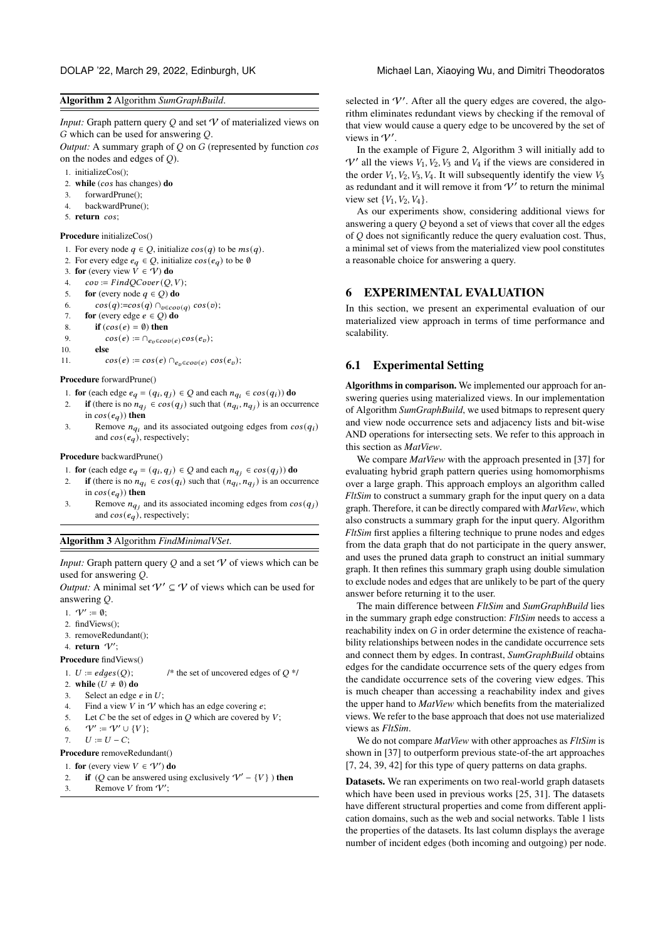### <span id="page-5-0"></span>Algorithm 2 Algorithm *SumGraphBuild*.

*Input:* Graph pattern query  $O$  and set  $V$  of materialized views on  $G$  which can be used for answering  $Q$ .

*Output:* A summary graph of  $Q$  on  $G$  (represented by function  $cos$ on the nodes and edges of  $Q$ ).

- 1. initializeCos();
- 2. while  $(cos has changes)$  do
- 3. forwardPrune();
- 4. backwardPrune();
- 5. return cos:

#### Procedure initializeCos()

- 1. For every node  $q \in Q$ , initialize  $cos(q)$  to be  $ms(q)$ .
- 2. For every edge  $e_q \in Q$ , initialize  $cos(e_q)$  to be Ø
- 3. for (every view  $V \in V$ ) do
- 4.  $cov := FindQCover(Q, V);$
- 5. for (every node  $q \in Q$ ) do
- 6.  $\cos(q) := \cos(q) \cap_{v \in cov(q)} \cos(v);$
- 7. for (every edge  $e \in Q$ ) do
- 8. if  $(cos(e) = \emptyset)$  then
- 9.  $cos(e) := \bigcap_{e_v \in cov(e)} cos(e_v);$
- 10. else
- 11.  $\cos(e) := \cos(e) \cap_{e_n \in \text{cov}(e)} \cos(e_v);$

#### Procedure forwardPrune()

- 1. **for** (each edge  $e_q = (q_i, q_j) \in Q$  and each  $n_{q_i} \in cos(q_i)$ ) **do**
- 2. if (there is no  $n_{q_i} \in cos(q_j)$  such that  $(n_{q_i}, n_{q_j})$  is an occurrence in  $cos(e_q)$ ) then
- 3. Remove  $n_{qi}$  and its associated outgoing edges from  $cos(q_i)$ and  $cos(e_a)$ , respectively;

#### Procedure backwardPrune()

- 1. for (each edge  $e_q = (q_i, q_j) \in Q$  and each  $n_{q_i} \in cos(q_j)$ ) do
- 2. if (there is no  $n_{q_i} \in cos(q_i)$  such that  $(n_{q_i}, n_{q_i})$  is an occurrence in  $cos(e_q)$ ) then
- 3. Remove  $n_{q_i}$  and its associated incoming edges from  $cos(q_i)$ and  $cos(e_q)$ , respectively;

#### <span id="page-5-1"></span>Algorithm 3 Algorithm *FindMinimalVSet*.

*Input:* Graph pattern query  $Q$  and a set  $V$  of views which can be used for answering  $Q$ .

*Output:* A minimal set  $V' \subseteq V$  of views which can be used for answering Q.

- 1.  $V' \coloneqq \emptyset$ ;
- 2. findViews();
- 3. removeRedundant();
- 4. return  $\mathcal{V}'$ ;

Procedure findViews()

1.  $U := edges(Q);$  /\* the set of uncovered edges of  $Q^*$ /

- 2. while  $(U \neq \emptyset)$  do
- 3. Select an edge  $e$  in  $U$ ;
- 4. Find a view V in V which has an edge covering  $e$ .
- 5. Let  $C$  be the set of edges in  $Q$  which are covered by  $V$ ;
- 6.  $\mathcal{V}' \coloneqq \mathcal{V}' \cup \{V\};$
- 7.  $U := U C$ :

Procedure removeRedundant()

- 1. for (every view  $V \in V'$ ) do
- 2. if (O can be answered using exclusively  $V' \{V\}$ ) then
- 3. Remove *V* from  $V'$ ;

selected in  $V'$ . After all the query edges are covered, the algorithm eliminates redundant views by checking if the removal of that view would cause a query edge to be uncovered by the set of views in  $\mathcal{V}'$ .

In the example of Figure [2,](#page-3-0) Algorithm [3](#page-5-1) will initially add to  $V'$  all the views  $V_1, V_2, V_3$  and  $V_4$  if the views are considered in the order  $V_1, V_2, V_3, V_4$ . It will subsequently identify the view  $V_3$ as redundant and it will remove it from  $V'$  to return the minimal view set  $\{V_1, V_2, V_4\}.$ 

As our experiments show, considering additional views for answering a query  $Q$  beyond a set of views that cover all the edges of  $Q$  does not significantly reduce the query evaluation cost. Thus, a minimal set of views from the materialized view pool constitutes a reasonable choice for answering a query.

# 6 EXPERIMENTAL EVALUATION

In this section, we present an experimental evaluation of our materialized view approach in terms of time performance and scalability.

# 6.1 Experimental Setting

Algorithms in comparison. We implemented our approach for answering queries using materialized views. In our implementation of Algorithm *SumGraphBuild*, we used bitmaps to represent query and view node occurrence sets and adjacency lists and bit-wise AND operations for intersecting sets. We refer to this approach in this section as *MatView*.

We compare *MatView* with the approach presented in [\[37\]](#page-9-3) for evaluating hybrid graph pattern queries using homomorphisms over a large graph. This approach employs an algorithm called *FltSim* to construct a summary graph for the input query on a data graph. Therefore, it can be directly compared with *MatView*, which also constructs a summary graph for the input query. Algorithm *FltSim* first applies a filtering technique to prune nodes and edges from the data graph that do not participate in the query answer, and uses the pruned data graph to construct an initial summary graph. It then refines this summary graph using double simulation to exclude nodes and edges that are unlikely to be part of the query answer before returning it to the user.

The main difference between *FltSim* and *SumGraphBuild* lies in the summary graph edge construction: *FltSim* needs to access a reachability index on  $G$  in order determine the existence of reachability relationships between nodes in the candidate occurrence sets and connect them by edges. In contrast, *SumGraphBuild* obtains edges for the candidate occurrence sets of the query edges from the candidate occurrence sets of the covering view edges. This is much cheaper than accessing a reachability index and gives the upper hand to *MatView* which benefits from the materialized views. We refer to the base approach that does not use materialized views as *FltSim*.

We do not compare *MatView* with other approaches as *FltSim* is shown in [\[37\]](#page-9-3) to outperform previous state-of-the art approaches [\[7,](#page-9-4) [24,](#page-9-5) [39,](#page-9-6) [42\]](#page-9-7) for this type of query patterns on data graphs.

Datasets. We ran experiments on two real-world graph datasets which have been used in previous works [\[25,](#page-9-8) [31\]](#page-9-9). The datasets have different structural properties and come from different application domains, such as the web and social networks. Table [1](#page-6-0) lists the properties of the datasets. Its last column displays the average number of incident edges (both incoming and outgoing) per node.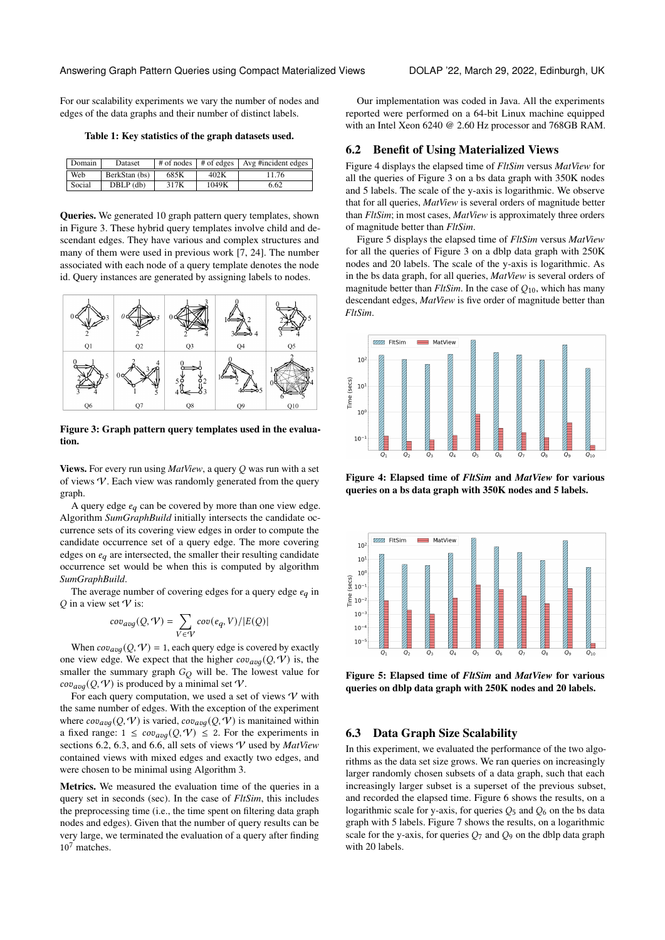For our scalability experiments we vary the number of nodes and edges of the data graphs and their number of distinct labels.

<span id="page-6-0"></span>Table 1: Key statistics of the graph datasets used.

| Domain | <b>Dataset</b> | # of nodes | $\#$ of edges | Avg #incident edges |
|--------|----------------|------------|---------------|---------------------|
| Web    | BerkStan (bs)  | 685K       | 402K          | 11.76               |
| Social | $DBLP$ (db)    | 317K       | 1049K         | 6.62                |

Queries. We generated 10 graph pattern query templates, shown in Figure [3.](#page-6-1) These hybrid query templates involve child and descendant edges. They have various and complex structures and many of them were used in previous work [\[7,](#page-9-4) [24\]](#page-9-5). The number associated with each node of a query template denotes the node id. Query instances are generated by assigning labels to nodes.

<span id="page-6-1"></span>

Figure 3: Graph pattern query templates used in the evaluation.

**Views.** For every run using *MatView*, a query Q was run with a set of views  $V$ . Each view was randomly generated from the query graph.

A query edge  $e_q$  can be covered by more than one view edge. Algorithm *SumGraphBuild* initially intersects the candidate occurrence sets of its covering view edges in order to compute the candidate occurrence set of a query edge. The more covering edges on  $e_a$  are intersected, the smaller their resulting candidate occurrence set would be when this is computed by algorithm *SumGraphBuild*.

The average number of covering edges for a query edge  $e_q$  in  $Q$  in a view set  $V$  is:

$$
cov_{avg}(Q, V) = \sum_{V \in V} cov(e_q, V) / |E(Q)|
$$

When  $cov_{avg}(Q, V) = 1$ , each query edge is covered by exactly one view edge. We expect that the higher  $cov_{avg}(Q, V)$  is, the smaller the summary graph  $G_Q$  will be. The lowest value for  $cov_{avg}(Q, V)$  is produced by a minimal set V.

For each query computation, we used a set of views  $\mathcal V$  with the same number of edges. With the exception of the experiment where  $cov_{avg}(Q, V)$  is varied,  $cov_{avg}(Q, V)$  is manitained within a fixed range:  $1 \leq \text{cov}_{avg}(Q, V) \leq 2$ . For the experiments in sections [6.2,](#page-6-2) [6.3,](#page-6-3) and [6.6,](#page-8-0) all sets of views V used by *MatView* contained views with mixed edges and exactly two edges, and were chosen to be minimal using Algorithm [3.](#page-5-1)

Metrics. We measured the evaluation time of the queries in a query set in seconds (sec). In the case of *FltSim*, this includes the preprocessing time (i.e., the time spent on filtering data graph nodes and edges). Given that the number of query results can be very large, we terminated the evaluation of a query after finding 10<sup>7</sup> matches.

Our implementation was coded in Java. All the experiments reported were performed on a 64-bit Linux machine equipped with an Intel Xeon 6240 @ 2.60 Hz processor and 768GB RAM.

# <span id="page-6-2"></span>6.2 Benefit of Using Materialized Views

Figure [4](#page-6-4) displays the elapsed time of *FltSim* versus *MatView* for all the queries of Figure [3](#page-6-1) on a bs data graph with 350K nodes and 5 labels. The scale of the y-axis is logarithmic. We observe that for all queries, *MatView* is several orders of magnitude better than *FltSim*; in most cases, *MatView* is approximately three orders of magnitude better than *FltSim*.

Figure [5](#page-6-5) displays the elapsed time of *FltSim* versus *MatView* for all the queries of Figure [3](#page-6-1) on a dblp data graph with 250K nodes and 20 labels. The scale of the y-axis is logarithmic. As in the bs data graph, for all queries, *MatView* is several orders of magnitude better than  $FltSim$ . In the case of  $Q_{10}$ , which has many descendant edges, *MatView* is five order of magnitude better than *FltSim*.

<span id="page-6-4"></span>

Figure 4: Elapsed time of *FltSim* and *MatView* for various queries on a bs data graph with 350K nodes and 5 labels.

<span id="page-6-5"></span>

Figure 5: Elapsed time of *FltSim* and *MatView* for various queries on dblp data graph with 250K nodes and 20 labels.

# <span id="page-6-3"></span>6.3 Data Graph Size Scalability

In this experiment, we evaluated the performance of the two algorithms as the data set size grows. We ran queries on increasingly larger randomly chosen subsets of a data graph, such that each increasingly larger subset is a superset of the previous subset, and recorded the elapsed time. Figure [6](#page-7-0) shows the results, on a logarithmic scale for y-axis, for queries  $Q_5$  and  $Q_6$  on the bs data graph with 5 labels. Figure [7](#page-7-1) shows the results, on a logarithmic scale for the y-axis, for queries  $Q_7$  and  $Q_9$  on the dblp data graph with 20 labels.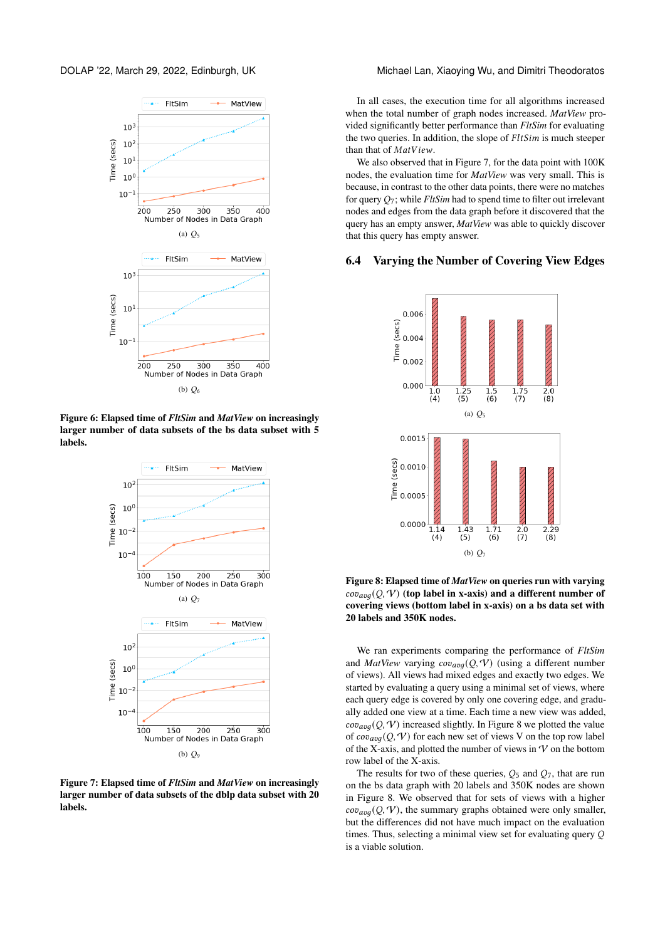<span id="page-7-0"></span>

<span id="page-7-1"></span>Figure 6: Elapsed time of *FltSim* and *MatView* on increasingly larger number of data subsets of the bs data subset with 5 labels.



Figure 7: Elapsed time of *FltSim* and *MatView* on increasingly larger number of data subsets of the dblp data subset with 20 labels.

In all cases, the execution time for all algorithms increased when the total number of graph nodes increased. *MatView* provided significantly better performance than *FltSim* for evaluating the two queries. In addition, the slope of  $FltSim$  is much steeper than that of  $MatView$ .

We also observed that in Figure [7,](#page-7-1) for the data point with 100K nodes, the evaluation time for *MatView* was very small. This is because, in contrast to the other data points, there were no matches for query  $Q_7$ ; while *FltSim* had to spend time to filter out irrelevant nodes and edges from the data graph before it discovered that the query has an empty answer, *MatView* was able to quickly discover that this query has empty answer.

# <span id="page-7-2"></span>6.4 Varying the Number of Covering View Edges



Figure 8: Elapsed time of *MatView* on queries run with varying  $cov_{avg}(Q, V)$  (top label in x-axis) and a different number of covering views (bottom label in x-axis) on a bs data set with 20 labels and 350K nodes.

We ran experiments comparing the performance of *FltSim* and *MatView* varying  $cov_{avg}(Q, V)$  (using a different number of views). All views had mixed edges and exactly two edges. We started by evaluating a query using a minimal set of views, where each query edge is covered by only one covering edge, and gradually added one view at a time. Each time a new view was added,  $cov_{avg}(Q, V)$  increased slightly. In Figure [8](#page-7-2) we plotted the value of  $cov_{avg}(Q, V)$  for each new set of views V on the top row label of the X-axis, and plotted the number of views in  $\mathcal V$  on the bottom row label of the X-axis.

The results for two of these queries,  $Q_5$  and  $Q_7$ , that are run on the bs data graph with 20 labels and 350K nodes are shown in Figure [8.](#page-7-2) We observed that for sets of views with a higher  $cov_{avg}(Q, V)$ , the summary graphs obtained were only smaller, but the differences did not have much impact on the evaluation times. Thus, selecting a minimal view set for evaluating query  $Q$ is a viable solution.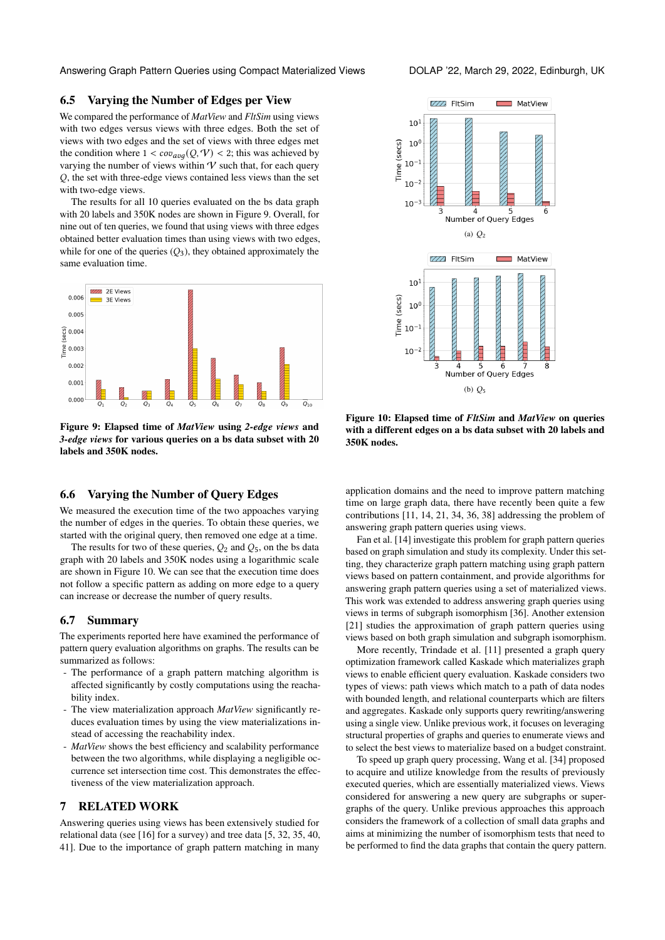Answering Graph Pattern Queries using Compact Materialized Views DOLAP '22, March 29, 2022, Edinburgh, UK

# 6.5 Varying the Number of Edges per View

We compared the performance of *MatView* and *FltSim* using views with two edges versus views with three edges. Both the set of views with two edges and the set of views with three edges met the condition where  $1 < cov_{avg}(Q, V) < 2$ ; this was achieved by varying the number of views within  $V$  such that, for each query , the set with three-edge views contained less views than the set with two-edge views.

The results for all 10 queries evaluated on the bs data graph with 20 labels and 350K nodes are shown in Figure [9.](#page-8-1) Overall, for nine out of ten queries, we found that using views with three edges obtained better evaluation times than using views with two edges, while for one of the queries  $(Q_3)$ , they obtained approximately the same evaluation time.

<span id="page-8-1"></span>

Figure 9: Elapsed time of *MatView* using *2-edge views* and *3-edge views* for various queries on a bs data subset with 20 labels and 350K nodes.

# <span id="page-8-0"></span>6.6 Varying the Number of Query Edges

We measured the execution time of the two appoaches varying the number of edges in the queries. To obtain these queries, we started with the original query, then removed one edge at a time.

The results for two of these queries,  $Q_2$  and  $Q_5$ , on the bs data graph with 20 labels and 350K nodes using a logarithmic scale are shown in Figure [10.](#page-8-2) We can see that the execution time does not follow a specific pattern as adding on more edge to a query can increase or decrease the number of query results.

# 6.7 Summary

The experiments reported here have examined the performance of pattern query evaluation algorithms on graphs. The results can be summarized as follows:

- The performance of a graph pattern matching algorithm is affected significantly by costly computations using the reachability index.
- The view materialization approach *MatView* significantly reduces evaluation times by using the view materializations instead of accessing the reachability index.
- *MatView* shows the best efficiency and scalability performance between the two algorithms, while displaying a negligible occurrence set intersection time cost. This demonstrates the effectiveness of the view materialization approach.

# 7 RELATED WORK

Answering queries using views has been extensively studied for relational data (see [\[16\]](#page-9-10) for a survey) and tree data [\[5,](#page-9-11) [32,](#page-9-12) [35,](#page-9-13) [40,](#page-9-14) [41\]](#page-9-15). Due to the importance of graph pattern matching in many

<span id="page-8-2"></span>

Figure 10: Elapsed time of *FltSim* and *MatView* on queries with a different edges on a bs data subset with 20 labels and 350K nodes.

application domains and the need to improve pattern matching time on large graph data, there have recently been quite a few contributions [\[11,](#page-9-16) [14,](#page-9-17) [21,](#page-9-18) [34,](#page-9-19) [36,](#page-9-20) [38\]](#page-9-21) addressing the problem of answering graph pattern queries using views.

Fan et al. [\[14\]](#page-9-17) investigate this problem for graph pattern queries based on graph simulation and study its complexity. Under this setting, they characterize graph pattern matching using graph pattern views based on pattern containment, and provide algorithms for answering graph pattern queries using a set of materialized views. This work was extended to address answering graph queries using views in terms of subgraph isomorphism [\[36\]](#page-9-20). Another extension [\[21\]](#page-9-18) studies the approximation of graph pattern queries using views based on both graph simulation and subgraph isomorphism.

More recently, Trindade et al. [\[11\]](#page-9-16) presented a graph query optimization framework called Kaskade which materializes graph views to enable efficient query evaluation. Kaskade considers two types of views: path views which match to a path of data nodes with bounded length, and relational counterparts which are filters and aggregates. Kaskade only supports query rewriting/answering using a single view. Unlike previous work, it focuses on leveraging structural properties of graphs and queries to enumerate views and to select the best views to materialize based on a budget constraint.

To speed up graph query processing, Wang et al. [\[34\]](#page-9-19) proposed to acquire and utilize knowledge from the results of previously executed queries, which are essentially materialized views. Views considered for answering a new query are subgraphs or supergraphs of the query. Unlike previous approaches this approach considers the framework of a collection of small data graphs and aims at minimizing the number of isomorphism tests that need to be performed to find the data graphs that contain the query pattern.